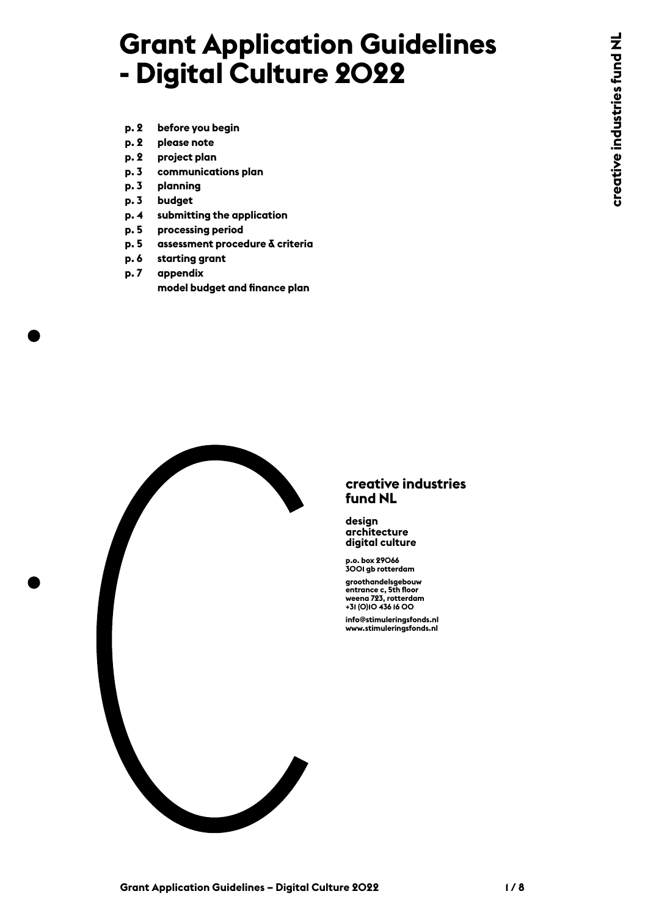# **Grant Application Guidelines - Digital Culture 2022**

- **p. 2 before you begin**
- **p. 2 please note**
- **p. 2 project plan**
- **p. 3 communications plan**
- **p. 3 planning**
- **p. 3 budget**
- **p. 4 submitting [t](#page-5-0)he application**
- **p. 5 processing period**
- **p. 5 [assessment procedure & criteria](#page-5-0)**
- **p. 6 starting grant**
- **p. 7 appendix model budget and finance plan**



#### **creative industries fund NL**

**design architecture digital culture**

**p.o. box 29066 3001 gb rotterdam**

**groothandelsgebouw entrance c, 5th floor weena 723, rotterdam +31 (0)10 436 16 00 info@stimuleringsfonds.nl www.stimuleringsfonds.nl**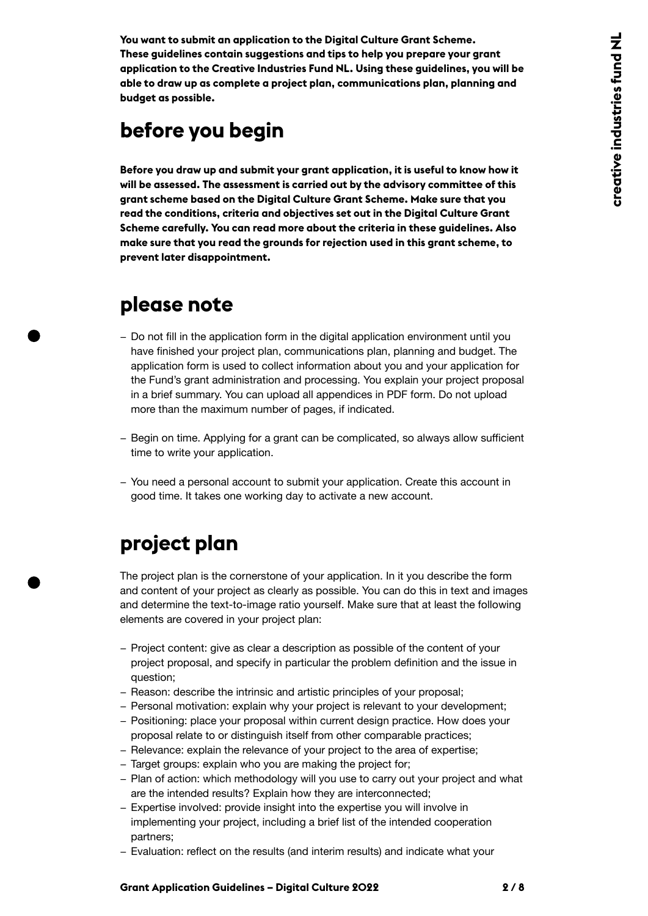**You want to submit an application to the Digital Culture Grant Scheme. These guidelines contain suggestions and tips to help you prepare your grant application to the Creative Industries Fund NL. Using these guidelines, you will be able to draw up as complete a project plan, communications plan, planning and budget as possible.**

## **before you begin**

**Before you draw up and submit your grant application, it is useful to know how it will be assessed. The assessment is carried out by the advisory committee of this grant scheme based on the Digital Culture Grant Scheme. Make sure that you read the conditions, criteria and objectives set out in the Digital Culture Grant Scheme carefully. You can read more about the criteria in these guidelines. Also make sure that you read the grounds for rejection used in this grant scheme, to prevent later disappointment.** 

### **please note**

- − Do not fill in the application form in the digital application environment until you have finished your project plan, communications plan, planning and budget. The application form is used to collect information about you and your application for the Fund's grant administration and processing. You explain your project proposal in a brief summary. You can upload all appendices in PDF form. Do not upload more than the maximum number of pages, if indicated.
- − Begin on time. Applying for a grant can be complicated, so always allow sufficient time to write your application.
- − You need a personal account to submit your application. Create this account in good time. It takes one working day to activate a new account.

## **project plan**

The project plan is the cornerstone of your application. In it you describe the form and content of your project as clearly as possible. You can do this in text and images and determine the text-to-image ratio yourself. Make sure that at least the following elements are covered in your project plan:

- − Project content: give as clear a description as possible of the content of your project proposal, and specify in particular the problem definition and the issue in question;
- − Reason: describe the intrinsic and artistic principles of your proposal;
- − Personal motivation: explain why your project is relevant to your development;
- − Positioning: place your proposal within current design practice. How does your proposal relate to or distinguish itself from other comparable practices;
- − Relevance: explain the relevance of your project to the area of expertise;
- − Target groups: explain who you are making the project for;
- − Plan of action: which methodology will you use to carry out your project and what are the intended results? Explain how they are interconnected;
- − Expertise involved: provide insight into the expertise you will involve in implementing your project, including a brief list of the intended cooperation partners;
- − Evaluation: reflect on the results (and interim results) and indicate what your

#### **Grant Application Guidelines – Digital Culture 2022 2 / 8**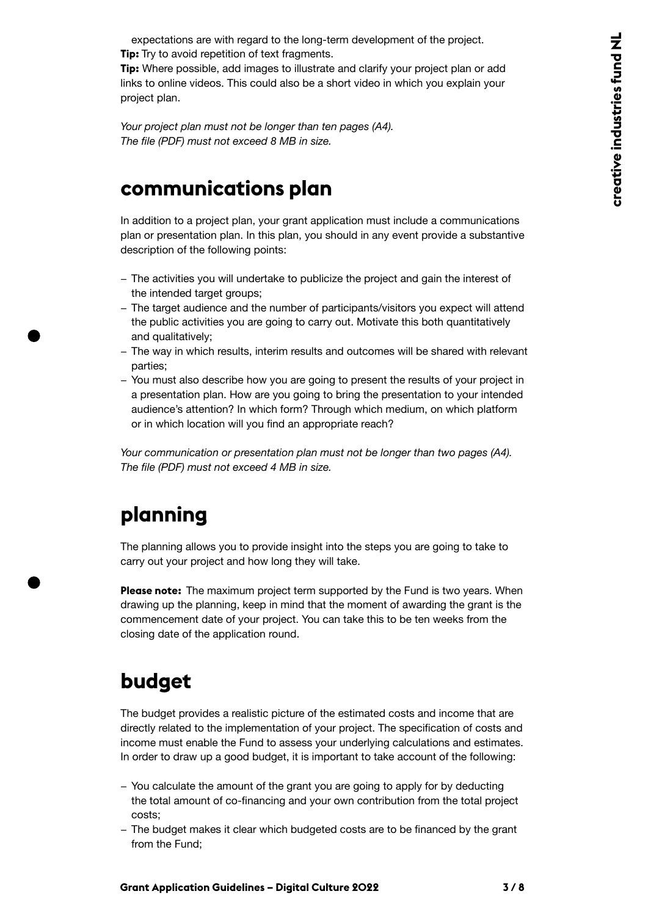expectations are with regard to the long-term development of the project. **Tip:** Try to avoid repetition of text fragments.

**Tip:** Where possible, add images to illustrate and clarify your project plan or add links to online videos. This could also be a short video in which you explain your project plan.

*Your project plan must not be longer than ten pages (A4). The file (PDF) must not exceed 8 MB in size.*

### **communications plan**

In addition to a project plan, your grant application must include a communications plan or presentation plan. In this plan, you should in any event provide a substantive description of the following points:

- − The activities you will undertake to publicize the project and gain the interest of the intended target groups;
- − The target audience and the number of participants/visitors you expect will attend the public activities you are going to carry out. Motivate this both quantitatively and qualitatively;
- − The way in which results, interim results and outcomes will be shared with relevant parties;
- − You must also describe how you are going to present the results of your project in a presentation plan. How are you going to bring the presentation to your intended audience's attention? In which form? Through which medium, on which platform or in which location will you find an appropriate reach?

*Your communication or presentation plan must not be longer than two pages (A4). The file (PDF) must not exceed 4 MB in size.*

## **planning**

The planning allows you to provide insight into the steps you are going to take to carry out your project and how long they will take.

**Please note:** The maximum project term supported by the Fund is two years. When drawing up the planning, keep in mind that the moment of awarding the grant is the commencement date of your project. You can take this to be ten weeks from the closing date of the application round.

## **budget**

The budget provides a realistic picture of the estimated costs and income that are directly related to the implementation of your project. The specification of costs and income must enable the Fund to assess your underlying calculations and estimates. In order to draw up a good budget, it is important to take account of the following:

- − You calculate the amount of the grant you are going to apply for by deducting the total amount of co-financing and your own contribution from the total project costs;
- − The budget makes it clear which budgeted costs are to be financed by the grant from the Fund;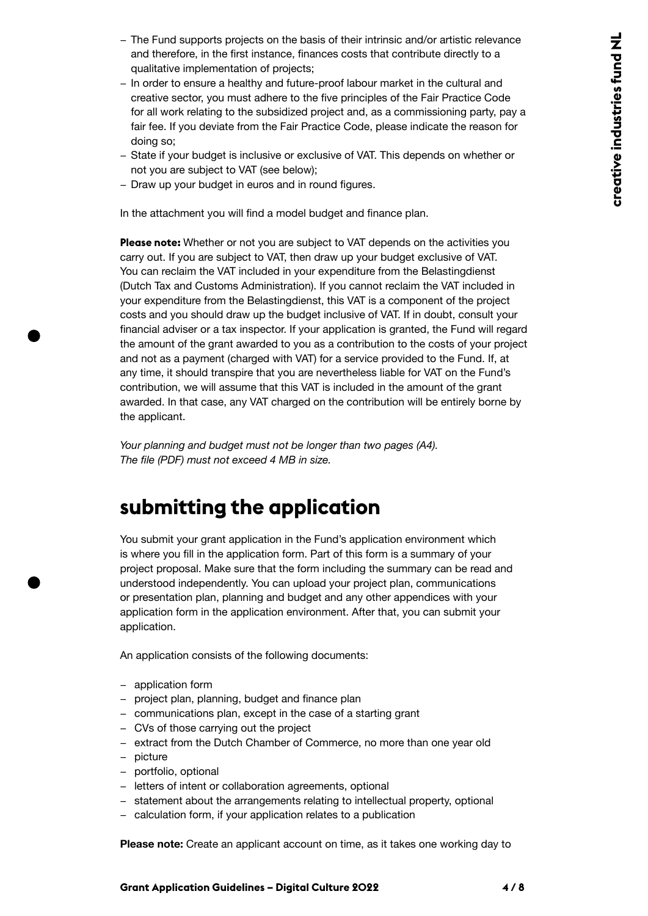- − The Fund supports projects on the basis of their intrinsic and/or artistic relevance and therefore, in the first instance, finances costs that contribute directly to a qualitative implementation of projects;
- − In order to ensure a healthy and future-proof labour market in the cultural and creative sector, you must adhere to the five principles of the Fair Practice Code for all work relating to the subsidized project and, as a commissioning party, pay a fair fee. If you deviate from the Fair Practice Code, please indicate the reason for doing so;
- − State if your budget is inclusive or exclusive of VAT. This depends on whether or not you are subject to VAT (see below);
- − Draw up your budget in euros and in round figures.

In the attachment you will find a model budget and finance plan.

**Please note:** Whether or not you are subject to VAT depends on the activities you carry out. If you are subject to VAT, then draw up your budget exclusive of VAT. You can reclaim the VAT included in your expenditure from the Belastingdienst (Dutch Tax and Customs Administration). If you cannot reclaim the VAT included in your expenditure from the Belastingdienst, this VAT is a component of the project costs and you should draw up the budget inclusive of VAT. If in doubt, consult your financial adviser or a tax inspector. If your application is granted, the Fund will regard the amount of the grant awarded to you as a contribution to the costs of your project and not as a payment (charged with VAT) for a service provided to the Fund. If, at any time, it should transpire that you are nevertheless liable for VAT on the Fund's contribution, we will assume that this VAT is included in the amount of the grant awarded. In that case, any VAT charged on the contribution will be entirely borne by the applicant.

*Your planning and budget must not be longer than two pages (A4). The file (PDF) must not exceed 4 MB in size.*

### **submitting the application**

You submit your grant application in the Fund's application environment which is where you fill in the application form. Part of this form is a summary of your project proposal. Make sure that the form including the summary can be read and understood independently. You can upload your project plan, communications or presentation plan, planning and budget and any other appendices with your application form in the application environment. After that, you can submit your application.

An application consists of the following documents:

- − application form
- − project plan, planning, budget and finance plan
- − communications plan, except in the case of a starting grant
- − CVs of those carrying out the project
- − extract from the Dutch Chamber of Commerce, no more than one year old
- − picture
- − portfolio, optional
- − letters of intent or collaboration agreements, optional
- − statement about the arrangements relating to intellectual property, optional
- − calculation form, if your application relates to a publication

**Please note:** Create an applicant account on time, as it takes one working day to

**Grant Application Guidelines – Digital Culture 2022 4 / 8**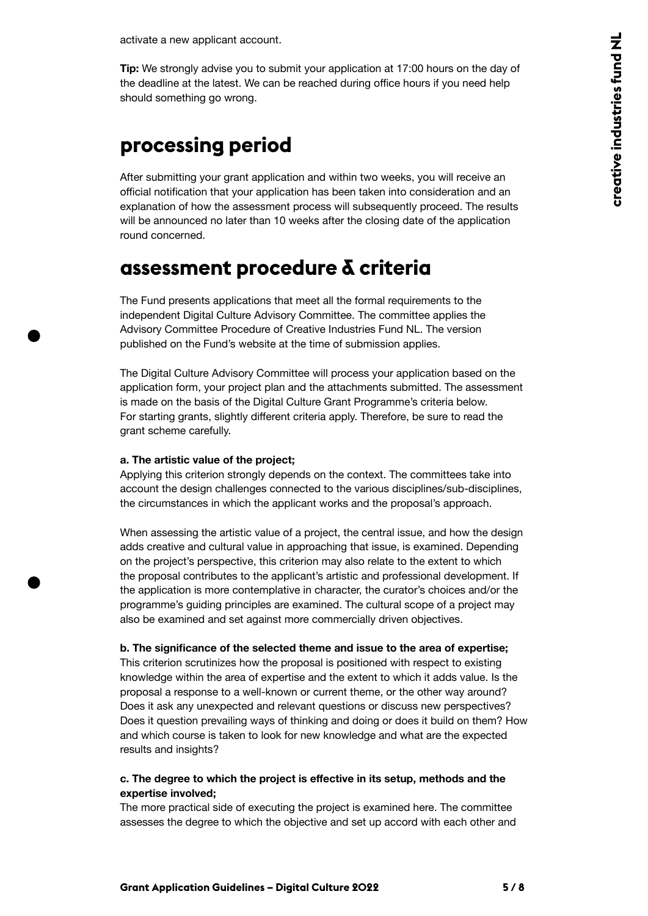<span id="page-4-0"></span>activate a new applicant account.

**Tip:** We strongly advise you to submit your application at 17:00 hours on the day of the deadline at the latest. We can be reached during office hours if you need help should something go wrong.

## **processing period**

After submitting your grant application and within two weeks, you will receive an official notification that your application has been taken into consideration and an explanation of how the assessment process will subsequently proceed. The results will be announced no later than 10 weeks after the closing date of the application round concerned.

### **assessment procedure & criteria**

The Fund presents applications that meet all the formal requirements to the independent Digital Culture Advisory Committee. The committee applies the Advisory Committee Procedure of Creative Industries Fund NL. The version published on the Fund's website at the time of submission applies.

The Digital Culture Advisory Committee will process your application based on the application form, your project plan and the attachments submitted. The assessment is made on the basis of the Digital Culture Grant Programme's criteria below. For starting grants, slightly different criteria apply. Therefore, be sure to read the grant scheme carefully.

#### **a. The artistic value of the project;**

Applying this criterion strongly depends on the context. The committees take into account the design challenges connected to the various disciplines/sub-disciplines, the circumstances in which the applicant works and the proposal's approach.

When assessing the artistic value of a project, the central issue, and how the design adds creative and cultural value in approaching that issue, is examined. Depending on the project's perspective, this criterion may also relate to the extent to which the proposal contributes to the applicant's artistic and professional development. If the application is more contemplative in character, the curator's choices and/or the programme's guiding principles are examined. The cultural scope of a project may also be examined and set against more commercially driven objectives.

#### **b. The significance of the selected theme and issue to the area of expertise;**

This criterion scrutinizes how the proposal is positioned with respect to existing knowledge within the area of expertise and the extent to which it adds value. Is the proposal a response to a well-known or current theme, or the other way around? Does it ask any unexpected and relevant questions or discuss new perspectives? Does it question prevailing ways of thinking and doing or does it build on them? How and which course is taken to look for new knowledge and what are the expected results and insights?

#### **c. The degree to which the project is effective in its setup, methods and the expertise involved;**

The more practical side of executing the project is examined here. The committee assesses the degree to which the objective and set up accord with each other and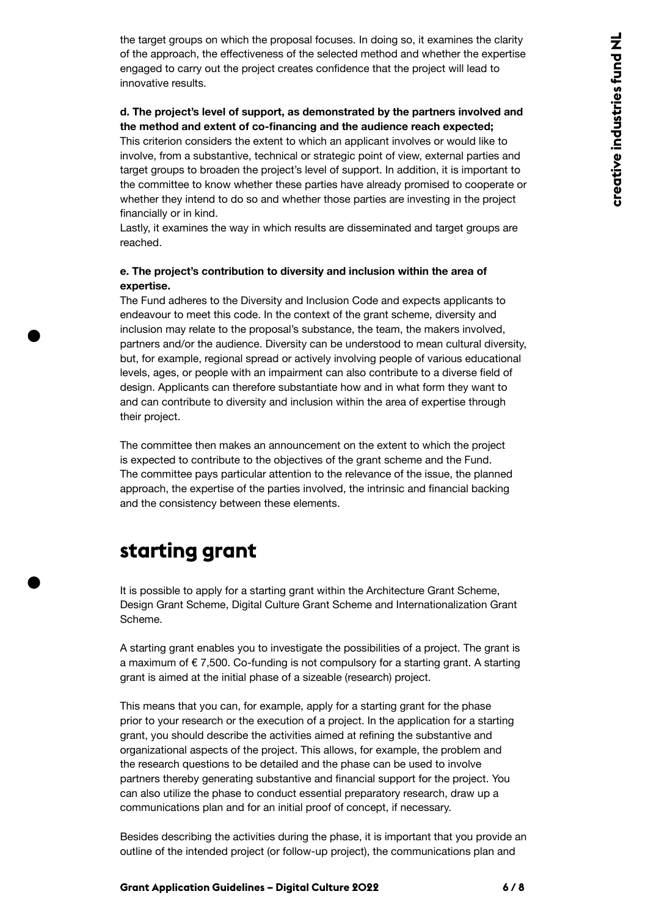<span id="page-5-0"></span>the target groups on which the proposal focuses. In doing so, it examines the clarity of the approach, the effectiveness of the selected method and whether the expertise engaged to carry out the project creates confidence that the project will lead to innovative results.

#### **d. The project's level of support, as demonstrated by the partners involved and the method and extent of co-financing and the audience reach expected;**

This criterion considers the extent to which an applicant involves or would like to involve, from a substantive, technical or strategic point of view, external parties and target groups to broaden the project's level of support. In addition, it is important to the committee to know whether these parties have already promised to cooperate or whether they intend to do so and whether those parties are investing in the project financially or in kind.

Lastly, it examines the way in which results are disseminated and target groups are reached.

#### **e. The project's contribution to diversity and inclusion within the area of expertise.**

The Fund adheres to the Diversity and Inclusion Code and expects applicants to endeavour to meet this code. In the context of the grant scheme, diversity and inclusion may relate to the proposal's substance, the team, the makers involved, partners and/or the audience. Diversity can be understood to mean cultural diversity, but, for example, regional spread or actively involving people of various educational levels, ages, or people with an impairment can also contribute to a diverse field of design. Applicants can therefore substantiate how and in what form they want to and can contribute to diversity and inclusion within the area of expertise through their project.

The committee then makes an announcement on the extent to which the project is expected to contribute to the objectives of the grant scheme and the Fund. The committee pays particular attention to the relevance of the issue, the planned approach, the expertise of the parties involved, the intrinsic and financial backing and the consistency between these elements.

### **starting grant**

It is possible to apply for a starting grant within the Architecture Grant Scheme, Design Grant Scheme, Digital Culture Grant Scheme and Internationalization Grant Scheme.

A starting grant enables you to investigate the possibilities of a project. The grant is a maximum of  $\epsilon$  7,500. Co-funding is not compulsory for a starting grant. A starting grant is aimed at the initial phase of a sizeable (research) project.

This means that you can, for example, apply for a starting grant for the phase prior to your research or the execution of a project. In the application for a starting grant, you should describe the activities aimed at refining the substantive and organizational aspects of the project. This allows, for example, the problem and the research questions to be detailed and the phase can be used to involve partners thereby generating substantive and financial support for the project. You can also utilize the phase to conduct essential preparatory research, draw up a communications plan and for an initial proof of concept, if necessary.

Besides describing the activities during the phase, it is important that you provide an outline of the intended project (or follow-up project), the communications plan and

#### **Grant Application Guidelines – Digital Culture 2022 6 / 8**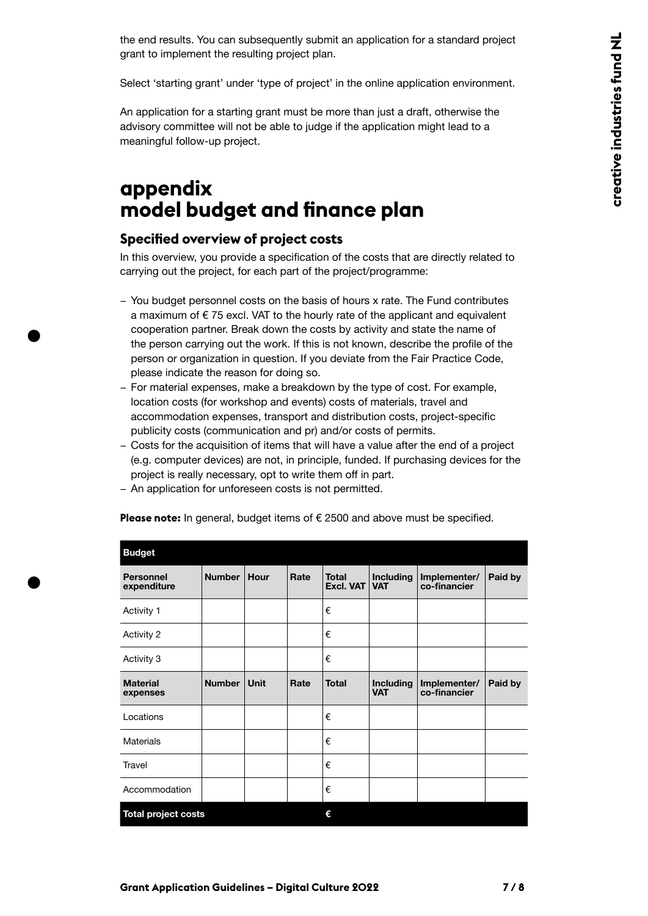the end results. You can subsequently submit an application for a standard project grant to implement the resulting project plan.

Select 'starting grant' under 'type of project' in the online application environment.

An application for a starting grant must be more than just a draft, otherwise the advisory committee will not be able to judge if the application might lead to a meaningful follow-up project.

### **appendix model budget and finance plan**

#### **Specified overview of project costs**

In this overview, you provide a specification of the costs that are directly related to carrying out the project, for each part of the project/programme:

- − You budget personnel costs on the basis of hours x rate. The Fund contributes a maximum of  $\epsilon$  75 excl. VAT to the hourly rate of the applicant and equivalent cooperation partner. Break down the costs by activity and state the name of the person carrying out the work. If this is not known, describe the profile of the person or organization in question. If you deviate from the Fair Practice Code, please indicate the reason for doing so.
- − For material expenses, make a breakdown by the type of cost. For example, location costs (for workshop and events) costs of materials, travel and accommodation expenses, transport and distribution costs, project-specific publicity costs (communication and pr) and/or costs of permits.
- − Costs for the acquisition of items that will have a value after the end of a project (e.g. computer devices) are not, in principle, funded. If purchasing devices for the project is really necessary, opt to write them off in part.
- − An application for unforeseen costs is not permitted.

| <b>Budget</b>                   |               |             |      |                                  |                                |                              |         |  |  |  |  |
|---------------------------------|---------------|-------------|------|----------------------------------|--------------------------------|------------------------------|---------|--|--|--|--|
| <b>Personnel</b><br>expenditure | <b>Number</b> | Hour        | Rate | <b>Total</b><br><b>Excl. VAT</b> | <b>Including</b><br><b>VAT</b> | Implementer/<br>co-financier | Paid by |  |  |  |  |
| Activity 1                      |               |             |      | €                                |                                |                              |         |  |  |  |  |
| Activity 2                      |               |             |      | €                                |                                |                              |         |  |  |  |  |
| Activity 3                      |               |             |      | €                                |                                |                              |         |  |  |  |  |
| <b>Material</b><br>expenses     | <b>Number</b> | <b>Unit</b> | Rate | <b>Total</b>                     | <b>Including</b><br><b>VAT</b> | Implementer/<br>co-financier | Paid by |  |  |  |  |
| Locations                       |               |             |      | €                                |                                |                              |         |  |  |  |  |
| <b>Materials</b>                |               |             |      | €                                |                                |                              |         |  |  |  |  |
| <b>Travel</b>                   |               |             |      | €                                |                                |                              |         |  |  |  |  |
| Accommodation                   |               |             |      | €                                |                                |                              |         |  |  |  |  |
| <b>Total project costs</b>      |               |             |      | €                                |                                |                              |         |  |  |  |  |

**Please note:** In general, budget items of € 2500 and above must be specified.